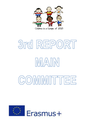

# 3rd REPORT IMATIN COMMITTEE

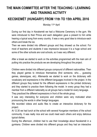# **THE MAIN COMMITTEE AFTER THE TEACHING / LEARNING AND TRAINING ACTIVITY**

# **KECSKEMÉT (HUNGARY) FROM 11th TO 15th APRIL 2016**

Monday 11<sup>th</sup> April

During our first day in Kecskemét we had a Welcome Ceremony in the gym. We were introduced to their Prince and each delegation gave a present to him while hearing a typical song from every country. It was a very good idea to introduce each others and break the ice.

Then we were divided into different groups and they showed us the school. For most of teachers and students it was impressive because it is a huge school and some of the other schools are rural schools, so it was very different.

After a break we started to work on the activities programmed with the main aim of putting into practice the products we are developing throughout the project.

Children were divided into different groups compound of different nationalities. Then they played games to introduce themselves (find someone, who…, guessing games, stereotypes, etc). Afterwards we started to work on the dictionary with vocabulary and expressions in the different languages involved in the project. In the different groups they looked for the different expressions in the printed dictionary and they started to practice them following the model. In every group they had a member from a different nationality so all groups had a model for every language.

They practiced the different expressions in front of the whole group.

It was very interesting for everyone and children were very motivated when pronouncing the words in other foreign languages.

We recorded videos and audio files to create an interactive dictionary for the project.

At 12.30 we had lunch at the school with several Hungarian members of the school community. It was really nice and we could meet each others and enjoy delicious typical dishes.

During the afternoon, children had to use their knowledge about Kecskemét in a gymkana. Children were divided into different groups and they had an interactive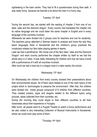sightseeing in the town centre. They had to fill a questionnaire during their walk. It was really funny, because we learned a lot about the town in a funny way.

## Tuesday 12th April

During the second day, we started with the reading of chapter 3 from one of our tales 'Jake and the diamond dragon'. Every country had translated the chapter into its native language and we could listen the same chapter in English and in every language of the countries involved.

Afterwards we were divided into 2 groups (one for teachers and one for students). The teachers group attended a German lesson to analyse and know the way they teach languages there in Kecskemét and the children's group practiced the vocabulary related our fairy tales playing games in teams.

Later we had a perofmance. We chose one of the fairy tales "Jake and the Diamond Dragon" and each country performed the chapter written by itself so we had the whole story in a video. It was really interesting for children and now we have a book with a performance of it with all countries involved.

After lunch we had a boat trip in a dragon boat in a lake nearby the school.

## Wednesday 13<sup>th</sup> April

On Wednesday the children from every country showed their presentations about their environmental issues. All of them were related to one of the main topics of the project which is 'technologies to preserve the environment'. After that, the children were divided into mixed groups compound of 8 children from different countries. They created posters, logos and slogans related to the different topics using pictures, datas collected from their countries, etc.

During the morning they could skype to their different countries to tell their classmates about their experience in Hungary.

After lunch, all people went to a Puppet Theatre to watch a funny performance and we also visited a very interesting Collection of Musical Instruments in Kecskemét, where we could even play some of them.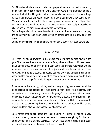On Thursday children made crafts and prepared several souvenirs made by themselves. They also decorated t-shirts that they wore in the afternoon during a surprise that all the Hungarian school community had prepared. It was a huge parade with hundreds of people, horses, carts and a band playing traditional songs. We were very welcomed in the city council by local authorities and lots of people in town were there to watch the parade and to welcome us. It was really impressive for all of us and for children was an unforgettable experience.

Before the parade children were interview to talk about their experience in Hungary and about their feelings when using Skype or participating in the activites of the project.

During the evening children had a party so they could dance, talk each others, etc.

## Friday 15th April

On Friday, all people involved in the project had a morning training music in the gym. Then we went by bus to visit a local farm, where children could bake bread, make leather bracelets and collars and learn about the animals. Afterwards we had some free time and we went to school to enjoy a really nice farewell dinner. There we exchanged some presents, all people danced and sang traditional Hungarian songs and the guests from the 5 countries sang a song in every language to thank our guests for the big effort made during this week to arrange everything.

To summarize the learning, training and teaching activity, we worked on all the topics related to the project as it was planned 'fairy tales', 'the dictionary with expressions and vocabulary in every language', 'the manual with different techniques to teach languages' and 'technologies to preserve the environment'. But we could learn about the Hungarian culture and school life. Children were able to put into practice everything they had learnt during the school year working on the project, and they also could exchange lots of experiences.

Coordinators met to talk about the next meeting in Finland. It will be a very important meeting because there, we have to arrange everything for the next learning/teaching and training activities. They will take place in Holland and Spain and we will have to set up the dates for them in Finland.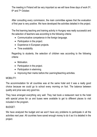The meeting in Finland will be very important so we will have three days of work 5<sup>th</sup>, 6<sup>th</sup> and 7<sup>th</sup> October.

After consulting every commission, the main committee agrees that the evaluation of first year is very positive. We have developed the activities detailed in the project.

The first learning teaching and training activity in Hungary was really successful and the selection of teachers was according to the following criteria:

- Communicative competence in the foreign language.
- Participation in the project.
- Experience in European projects.
- Time availability

Regarding to students, the selection of children was according to the following criteria:

- Motivation.
- Participation in the project.
- Participation in etwinning.
- Improving their marks before the Learning/teaching activities.

#### MOBILITY:

The accommodation for all countries was at the same hotel and it was a really good choice because we could go to school every morning on foot. The balance between quality and price was very good too.

They have arranged everything very well. They had book a restaurant next to the hotel with special prices for us and buses were available to get to different places to visit included in the program.

#### BUDGET:

We have analyzed the budget and we won't have any problems to participate in all the activities next year. All countries have saved enough money to do it as it is detailed in the project.